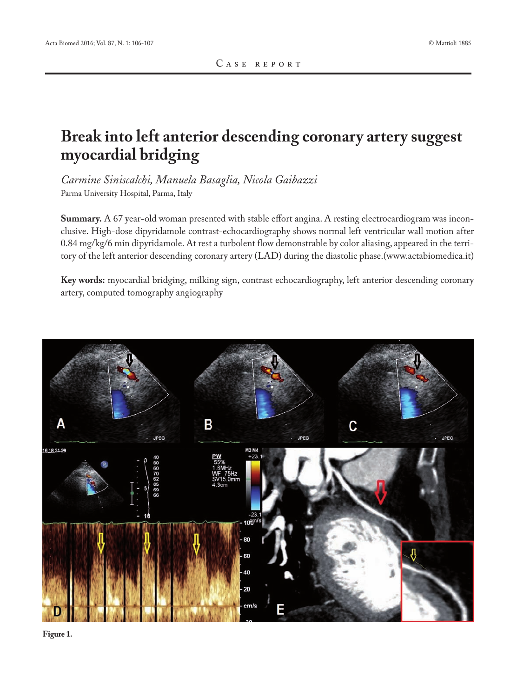## **Break into left anterior descending coronary artery suggest myocardial bridging**

*Carmine Siniscalchi, Manuela Basaglia, Nicola Gaibazzi* Parma University Hospital, Parma, Italy

**Summary.** A 67 year-old woman presented with stable effort angina. A resting electrocardiogram was inconclusive. High-dose dipyridamole contrast-echocardiography shows normal left ventricular wall motion after 0.84 mg/kg/6 min dipyridamole. At rest a turbolent flow demonstrable by color aliasing, appeared in the territory of the left anterior descending coronary artery (LAD) during the diastolic phase.(www.actabiomedica.it)

**Key words:** myocardial bridging, milking sign, contrast echocardiography, left anterior descending coronary artery, computed tomography angiography



**Figure 1.**